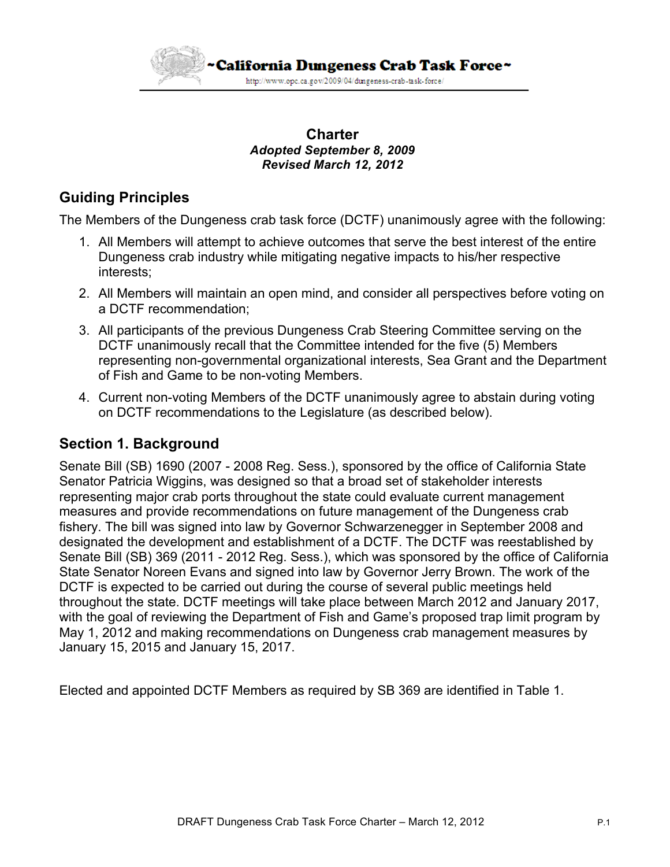

#### **Charter** *Adopted September 8, 2009 Revised March 12, 2012*

# **Guiding Principles**

The Members of the Dungeness crab task force (DCTF) unanimously agree with the following:

- 1. All Members will attempt to achieve outcomes that serve the best interest of the entire Dungeness crab industry while mitigating negative impacts to his/her respective interests;
- 2. All Members will maintain an open mind, and consider all perspectives before voting on a DCTF recommendation;
- 3. All participants of the previous Dungeness Crab Steering Committee serving on the DCTF unanimously recall that the Committee intended for the five (5) Members representing non-governmental organizational interests, Sea Grant and the Department of Fish and Game to be non-voting Members.
- 4. Current non-voting Members of the DCTF unanimously agree to abstain during voting on DCTF recommendations to the Legislature (as described below).

# **Section 1. Background**

Senate Bill (SB) 1690 (2007 - 2008 Reg. Sess.), sponsored by the office of California State Senator Patricia Wiggins, was designed so that a broad set of stakeholder interests representing major crab ports throughout the state could evaluate current management measures and provide recommendations on future management of the Dungeness crab fishery. The bill was signed into law by Governor Schwarzenegger in September 2008 and designated the development and establishment of a DCTF. The DCTF was reestablished by Senate Bill (SB) 369 (2011 - 2012 Reg. Sess.), which was sponsored by the office of California State Senator Noreen Evans and signed into law by Governor Jerry Brown. The work of the DCTF is expected to be carried out during the course of several public meetings held throughout the state. DCTF meetings will take place between March 2012 and January 2017, with the goal of reviewing the Department of Fish and Game's proposed trap limit program by May 1, 2012 and making recommendations on Dungeness crab management measures by January 15, 2015 and January 15, 2017.

Elected and appointed DCTF Members as required by SB 369 are identified in Table 1.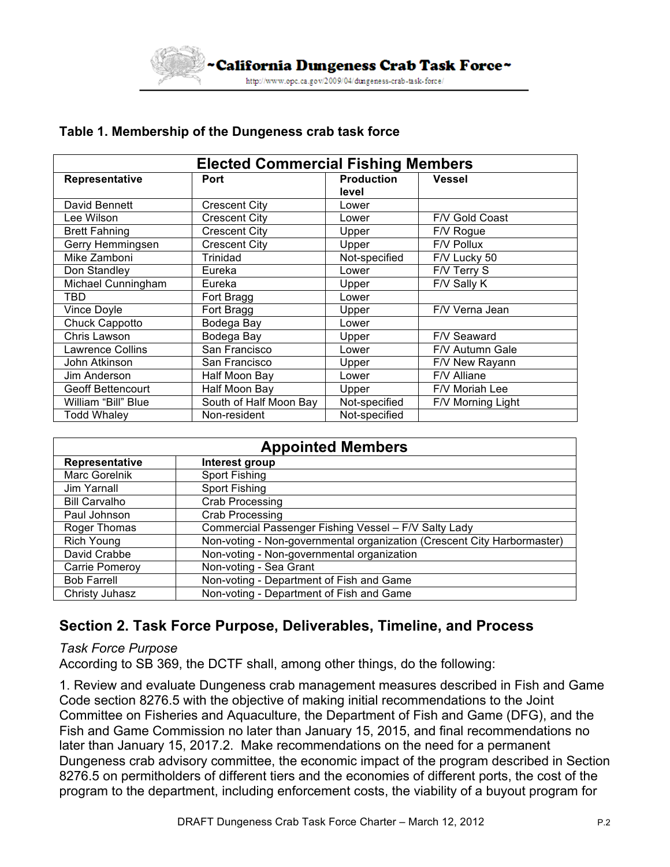

| <b>Elected Commercial Fishing Members</b> |                        |                            |                   |
|-------------------------------------------|------------------------|----------------------------|-------------------|
| Representative                            | <b>Port</b>            | <b>Production</b><br>level | <b>Vessel</b>     |
| David Bennett                             | <b>Crescent City</b>   | _ower                      |                   |
| Lee Wilson                                | <b>Crescent City</b>   | Lower                      | F/V Gold Coast    |
| <b>Brett Fahning</b>                      | Crescent City          | Upper                      | F/V Rogue         |
| Gerry Hemmingsen                          | <b>Crescent City</b>   | Upper                      | F/V Pollux        |
| Mike Zamboni                              | Trinidad               | Not-specified              | F/V Lucky 50      |
| Don Standley                              | Eureka                 | Lower                      | F/V Terry S       |
| Michael Cunningham                        | Eureka                 | Upper                      | F/V Sally K       |
| TBD                                       | Fort Bragg             | Lower                      |                   |
| Vince Doyle                               | Fort Bragg             | Upper                      | F/V Verna Jean    |
| Chuck Cappotto                            | Bodega Bay             | Lower                      |                   |
| Chris Lawson                              | Bodega Bay             | Upper                      | F/V Seaward       |
| Lawrence Collins                          | San Francisco          | Lower                      | F/V Autumn Gale   |
| John Atkinson                             | San Francisco          | Upper                      | F/V New Rayann    |
| Jim Anderson                              | Half Moon Bay          | Lower                      | F/V Alliane       |
| Geoff Bettencourt                         | Half Moon Bay          | Upper                      | F/V Moriah Lee    |
| William "Bill" Blue                       | South of Half Moon Bay | Not-specified              | F/V Morning Light |
| Todd Whaley                               | Non-resident           | Not-specified              |                   |

#### **Table 1. Membership of the Dungeness crab task force**

| <b>Appointed Members</b> |                                                                         |  |  |
|--------------------------|-------------------------------------------------------------------------|--|--|
| Representative           | Interest group                                                          |  |  |
| Marc Gorelnik            | Sport Fishing                                                           |  |  |
| Jim Yarnall              | Sport Fishing                                                           |  |  |
| <b>Bill Carvalho</b>     | <b>Crab Processing</b>                                                  |  |  |
| Paul Johnson             | Crab Processing                                                         |  |  |
| Roger Thomas             | Commercial Passenger Fishing Vessel - F/V Salty Lady                    |  |  |
| Rich Young               | Non-voting - Non-governmental organization (Crescent City Harbormaster) |  |  |
| David Crabbe             | Non-voting - Non-governmental organization                              |  |  |
| Carrie Pomeroy           | Non-voting - Sea Grant                                                  |  |  |
| <b>Bob Farrell</b>       | Non-voting - Department of Fish and Game                                |  |  |
| Christy Juhasz           | Non-voting - Department of Fish and Game                                |  |  |

# **Section 2. Task Force Purpose, Deliverables, Timeline, and Process**

*Task Force Purpose*

According to SB 369, the DCTF shall, among other things, do the following:

1. Review and evaluate Dungeness crab management measures described in Fish and Game Code section 8276.5 with the objective of making initial recommendations to the Joint Committee on Fisheries and Aquaculture, the Department of Fish and Game (DFG), and the Fish and Game Commission no later than January 15, 2015, and final recommendations no later than January 15, 2017.2. Make recommendations on the need for a permanent Dungeness crab advisory committee, the economic impact of the program described in Section 8276.5 on permitholders of different tiers and the economies of different ports, the cost of the program to the department, including enforcement costs, the viability of a buyout program for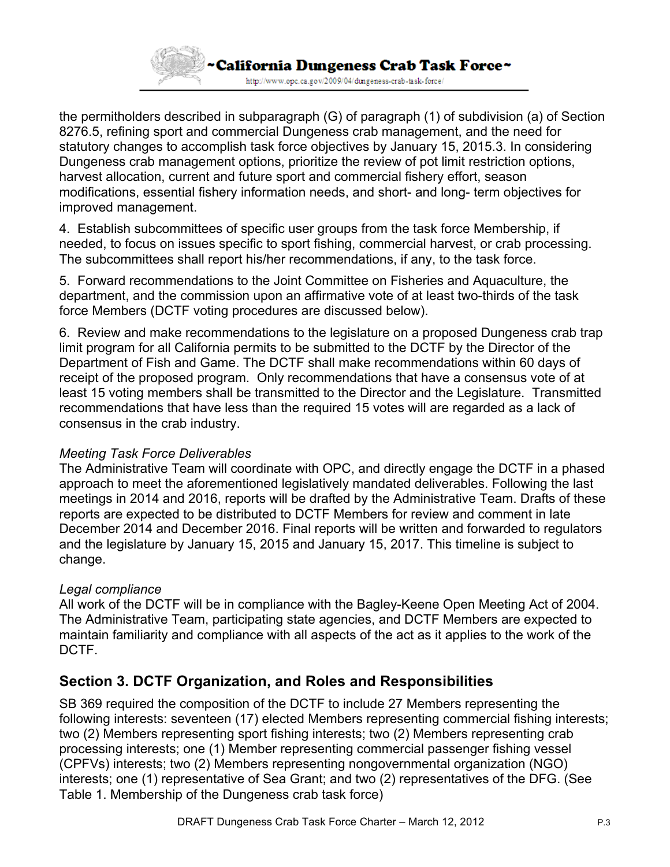

the permitholders described in subparagraph (G) of paragraph (1) of subdivision (a) of Section 8276.5, refining sport and commercial Dungeness crab management, and the need for statutory changes to accomplish task force objectives by January 15, 2015.3. In considering Dungeness crab management options, prioritize the review of pot limit restriction options, harvest allocation, current and future sport and commercial fishery effort, season modifications, essential fishery information needs, and short- and long- term objectives for improved management.

4. Establish subcommittees of specific user groups from the task force Membership, if needed, to focus on issues specific to sport fishing, commercial harvest, or crab processing. The subcommittees shall report his/her recommendations, if any, to the task force.

5. Forward recommendations to the Joint Committee on Fisheries and Aquaculture, the department, and the commission upon an affirmative vote of at least two-thirds of the task force Members (DCTF voting procedures are discussed below).

6. Review and make recommendations to the legislature on a proposed Dungeness crab trap limit program for all California permits to be submitted to the DCTF by the Director of the Department of Fish and Game. The DCTF shall make recommendations within 60 days of receipt of the proposed program. Only recommendations that have a consensus vote of at least 15 voting members shall be transmitted to the Director and the Legislature. Transmitted recommendations that have less than the required 15 votes will are regarded as a lack of consensus in the crab industry.

## *Meeting Task Force Deliverables*

The Administrative Team will coordinate with OPC, and directly engage the DCTF in a phased approach to meet the aforementioned legislatively mandated deliverables. Following the last meetings in 2014 and 2016, reports will be drafted by the Administrative Team. Drafts of these reports are expected to be distributed to DCTF Members for review and comment in late December 2014 and December 2016. Final reports will be written and forwarded to regulators and the legislature by January 15, 2015 and January 15, 2017. This timeline is subject to change.

## *Legal compliance*

All work of the DCTF will be in compliance with the Bagley-Keene Open Meeting Act of 2004. The Administrative Team, participating state agencies, and DCTF Members are expected to maintain familiarity and compliance with all aspects of the act as it applies to the work of the DCTF.

# **Section 3. DCTF Organization, and Roles and Responsibilities**

SB 369 required the composition of the DCTF to include 27 Members representing the following interests: seventeen (17) elected Members representing commercial fishing interests; two (2) Members representing sport fishing interests; two (2) Members representing crab processing interests; one (1) Member representing commercial passenger fishing vessel (CPFVs) interests; two (2) Members representing nongovernmental organization (NGO) interests; one (1) representative of Sea Grant; and two (2) representatives of the DFG. (See Table 1. Membership of the Dungeness crab task force)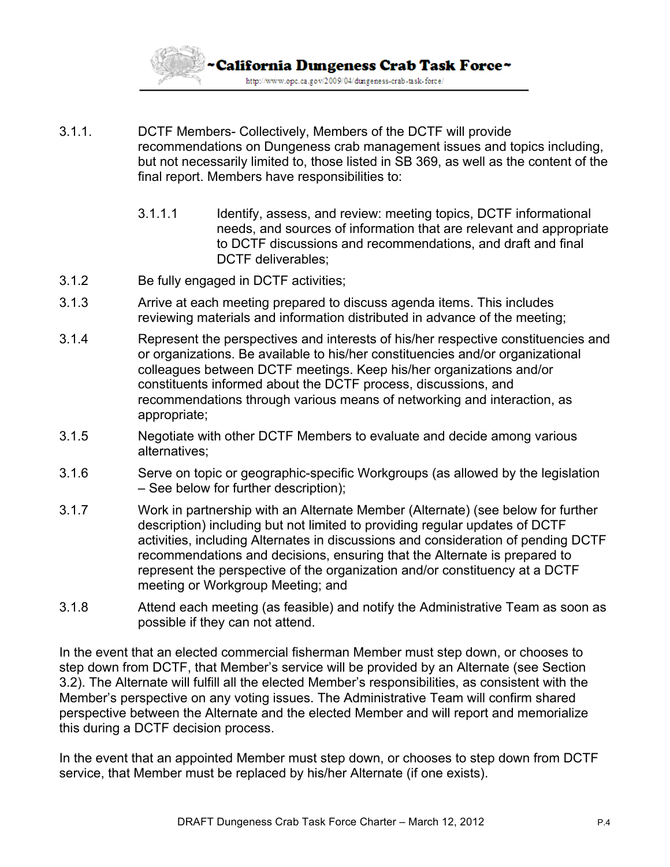

- 3.1.1. DCTF Members- Collectively, Members of the DCTF will provide recommendations on Dungeness crab management issues and topics including, but not necessarily limited to, those listed in SB 369, as well as the content of the final report. Members have responsibilities to:
	- 3.1.1.1 Identify, assess, and review: meeting topics, DCTF informational needs, and sources of information that are relevant and appropriate to DCTF discussions and recommendations, and draft and final DCTF deliverables:
- 3.1.2 Be fully engaged in DCTF activities;
- 3.1.3 Arrive at each meeting prepared to discuss agenda items. This includes reviewing materials and information distributed in advance of the meeting;
- 3.1.4 Represent the perspectives and interests of his/her respective constituencies and or organizations. Be available to his/her constituencies and/or organizational colleagues between DCTF meetings. Keep his/her organizations and/or constituents informed about the DCTF process, discussions, and recommendations through various means of networking and interaction, as appropriate;
- 3.1.5 Negotiate with other DCTF Members to evaluate and decide among various alternatives;
- 3.1.6 Serve on topic or geographic-specific Workgroups (as allowed by the legislation – See below for further description);
- 3.1.7 Work in partnership with an Alternate Member (Alternate) (see below for further description) including but not limited to providing regular updates of DCTF activities, including Alternates in discussions and consideration of pending DCTF recommendations and decisions, ensuring that the Alternate is prepared to represent the perspective of the organization and/or constituency at a DCTF meeting or Workgroup Meeting; and
- 3.1.8 Attend each meeting (as feasible) and notify the Administrative Team as soon as possible if they can not attend.

In the event that an elected commercial fisherman Member must step down, or chooses to step down from DCTF, that Member's service will be provided by an Alternate (see Section 3.2). The Alternate will fulfill all the elected Member's responsibilities, as consistent with the Member's perspective on any voting issues. The Administrative Team will confirm shared perspective between the Alternate and the elected Member and will report and memorialize this during a DCTF decision process.

In the event that an appointed Member must step down, or chooses to step down from DCTF service, that Member must be replaced by his/her Alternate (if one exists).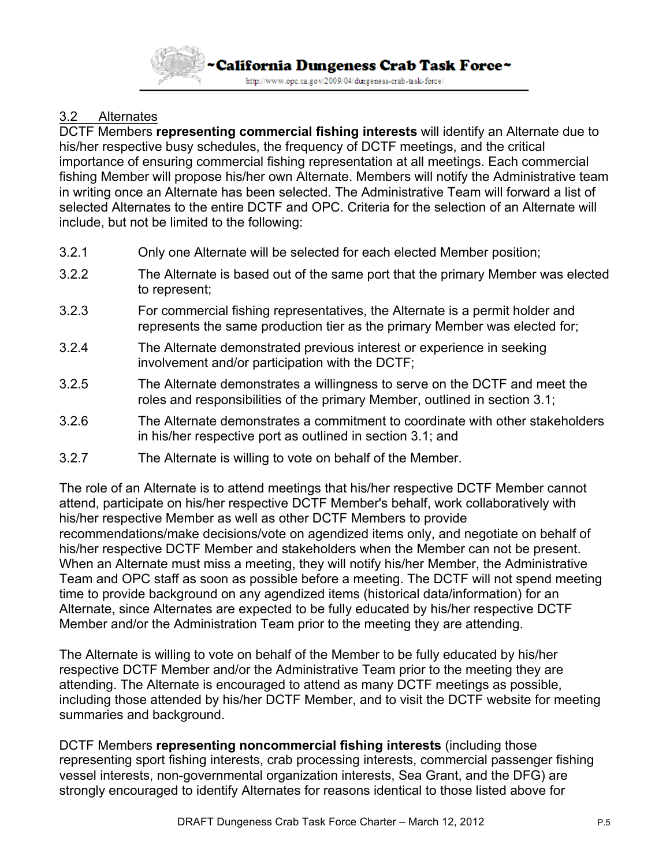

## 3.2 Alternates

DCTF Members **representing commercial fishing interests** will identify an Alternate due to his/her respective busy schedules, the frequency of DCTF meetings, and the critical importance of ensuring commercial fishing representation at all meetings. Each commercial fishing Member will propose his/her own Alternate. Members will notify the Administrative team in writing once an Alternate has been selected. The Administrative Team will forward a list of selected Alternates to the entire DCTF and OPC. Criteria for the selection of an Alternate will include, but not be limited to the following:

- 3.2.1 Only one Alternate will be selected for each elected Member position;
- 3.2.2 The Alternate is based out of the same port that the primary Member was elected to represent;
- 3.2.3 For commercial fishing representatives, the Alternate is a permit holder and represents the same production tier as the primary Member was elected for;
- 3.2.4 The Alternate demonstrated previous interest or experience in seeking involvement and/or participation with the DCTF;
- 3.2.5 The Alternate demonstrates a willingness to serve on the DCTF and meet the roles and responsibilities of the primary Member, outlined in section 3.1;
- 3.2.6 The Alternate demonstrates a commitment to coordinate with other stakeholders in his/her respective port as outlined in section 3.1; and
- 3.2.7 The Alternate is willing to vote on behalf of the Member.

The role of an Alternate is to attend meetings that his/her respective DCTF Member cannot attend, participate on his/her respective DCTF Member's behalf, work collaboratively with his/her respective Member as well as other DCTF Members to provide recommendations/make decisions/vote on agendized items only, and negotiate on behalf of his/her respective DCTF Member and stakeholders when the Member can not be present. When an Alternate must miss a meeting, they will notify his/her Member, the Administrative Team and OPC staff as soon as possible before a meeting. The DCTF will not spend meeting time to provide background on any agendized items (historical data/information) for an Alternate, since Alternates are expected to be fully educated by his/her respective DCTF Member and/or the Administration Team prior to the meeting they are attending.

The Alternate is willing to vote on behalf of the Member to be fully educated by his/her respective DCTF Member and/or the Administrative Team prior to the meeting they are attending. The Alternate is encouraged to attend as many DCTF meetings as possible, including those attended by his/her DCTF Member, and to visit the DCTF website for meeting summaries and background.

DCTF Members **representing noncommercial fishing interests** (including those representing sport fishing interests, crab processing interests, commercial passenger fishing vessel interests, non-governmental organization interests, Sea Grant, and the DFG) are strongly encouraged to identify Alternates for reasons identical to those listed above for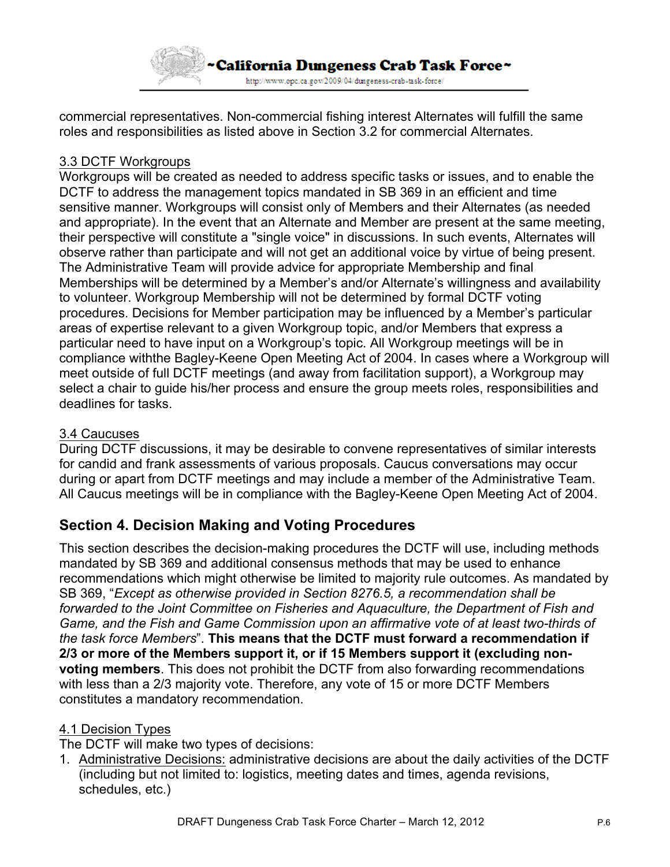

commercial representatives. Non-commercial fishing interest Alternates will fulfill the same roles and responsibilities as listed above in Section 3.2 for commercial Alternates.

### 3.3 DCTF Workgroups

Workgroups will be created as needed to address specific tasks or issues, and to enable the DCTF to address the management topics mandated in SB 369 in an efficient and time sensitive manner. Workgroups will consist only of Members and their Alternates (as needed and appropriate). In the event that an Alternate and Member are present at the same meeting, their perspective will constitute a "single voice" in discussions. In such events, Alternates will observe rather than participate and will not get an additional voice by virtue of being present. The Administrative Team will provide advice for appropriate Membership and final Memberships will be determined by a Member's and/or Alternate's willingness and availability to volunteer. Workgroup Membership will not be determined by formal DCTF voting procedures. Decisions for Member participation may be influenced by a Member's particular areas of expertise relevant to a given Workgroup topic, and/or Members that express a particular need to have input on a Workgroup's topic. All Workgroup meetings will be in compliance withthe Bagley-Keene Open Meeting Act of 2004. In cases where a Workgroup will meet outside of full DCTF meetings (and away from facilitation support), a Workgroup may select a chair to guide his/her process and ensure the group meets roles, responsibilities and deadlines for tasks.

#### 3.4 Caucuses

During DCTF discussions, it may be desirable to convene representatives of similar interests for candid and frank assessments of various proposals. Caucus conversations may occur during or apart from DCTF meetings and may include a member of the Administrative Team. All Caucus meetings will be in compliance with the Bagley-Keene Open Meeting Act of 2004.

# **Section 4. Decision Making and Voting Procedures**

This section describes the decision-making procedures the DCTF will use, including methods mandated by SB 369 and additional consensus methods that may be used to enhance recommendations which might otherwise be limited to majority rule outcomes. As mandated by SB 369, "*Except as otherwise provided in Section 8276.5, a recommendation shall be forwarded to the Joint Committee on Fisheries and Aquaculture, the Department of Fish and Game, and the Fish and Game Commission upon an affirmative vote of at least two-thirds of the task force Members*". **This means that the DCTF must forward a recommendation if 2/3 or more of the Members support it, or if 15 Members support it (excluding nonvoting members**. This does not prohibit the DCTF from also forwarding recommendations with less than a 2/3 majority vote. Therefore, any vote of 15 or more DCTF Members constitutes a mandatory recommendation.

#### 4.1 Decision Types

The DCTF will make two types of decisions:

1. Administrative Decisions: administrative decisions are about the daily activities of the DCTF (including but not limited to: logistics, meeting dates and times, agenda revisions, schedules, etc.)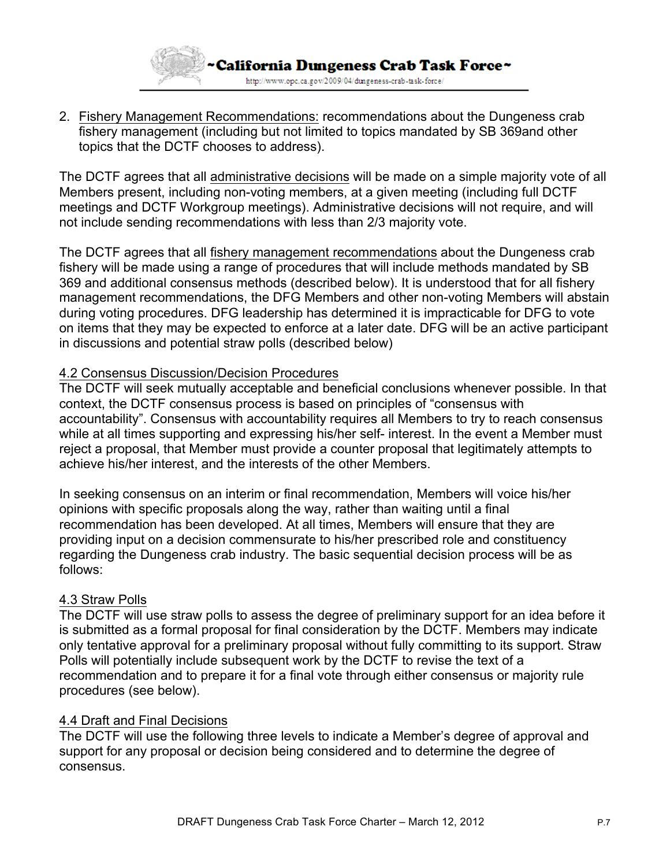

2. Fishery Management Recommendations: recommendations about the Dungeness crab fishery management (including but not limited to topics mandated by SB 369and other topics that the DCTF chooses to address).

The DCTF agrees that all administrative decisions will be made on a simple majority vote of all Members present, including non-voting members, at a given meeting (including full DCTF meetings and DCTF Workgroup meetings). Administrative decisions will not require, and will not include sending recommendations with less than 2/3 majority vote.

The DCTF agrees that all fishery management recommendations about the Dungeness crab fishery will be made using a range of procedures that will include methods mandated by SB 369 and additional consensus methods (described below). It is understood that for all fishery management recommendations, the DFG Members and other non-voting Members will abstain during voting procedures. DFG leadership has determined it is impracticable for DFG to vote on items that they may be expected to enforce at a later date. DFG will be an active participant in discussions and potential straw polls (described below)

#### 4.2 Consensus Discussion/Decision Procedures

The DCTF will seek mutually acceptable and beneficial conclusions whenever possible. In that context, the DCTF consensus process is based on principles of "consensus with accountability". Consensus with accountability requires all Members to try to reach consensus while at all times supporting and expressing his/her self- interest. In the event a Member must reject a proposal, that Member must provide a counter proposal that legitimately attempts to achieve his/her interest, and the interests of the other Members.

In seeking consensus on an interim or final recommendation, Members will voice his/her opinions with specific proposals along the way, rather than waiting until a final recommendation has been developed. At all times, Members will ensure that they are providing input on a decision commensurate to his/her prescribed role and constituency regarding the Dungeness crab industry. The basic sequential decision process will be as follows:

#### 4.3 Straw Polls

The DCTF will use straw polls to assess the degree of preliminary support for an idea before it is submitted as a formal proposal for final consideration by the DCTF. Members may indicate only tentative approval for a preliminary proposal without fully committing to its support. Straw Polls will potentially include subsequent work by the DCTF to revise the text of a recommendation and to prepare it for a final vote through either consensus or majority rule procedures (see below).

#### 4.4 Draft and Final Decisions

The DCTF will use the following three levels to indicate a Member's degree of approval and support for any proposal or decision being considered and to determine the degree of consensus.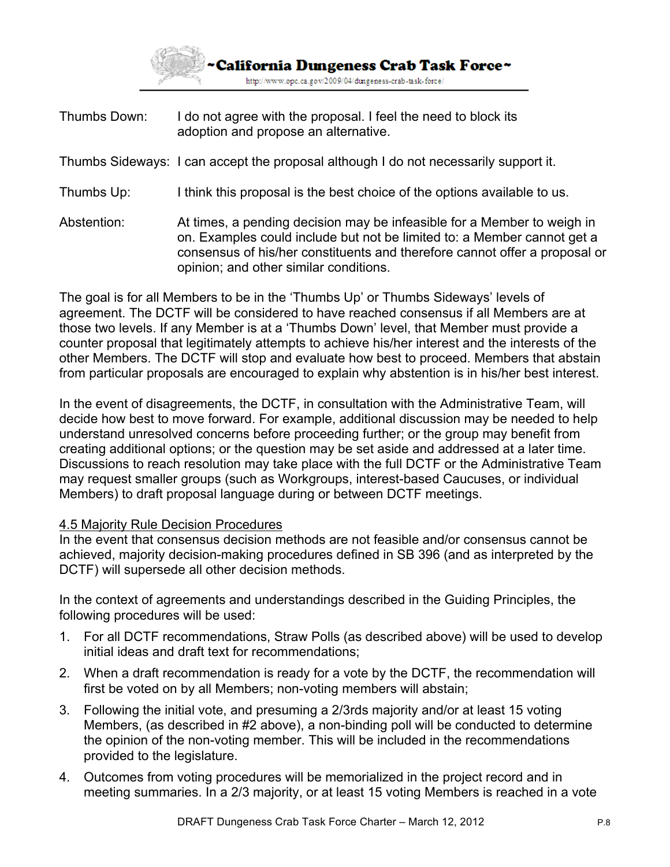

Thumbs Down: I do not agree with the proposal. I feel the need to block its adoption and propose an alternative.

Thumbs Sideways: I can accept the proposal although I do not necessarily support it.

- Thumbs Up: I think this proposal is the best choice of the options available to us.
- Abstention: At times, a pending decision may be infeasible for a Member to weigh in on. Examples could include but not be limited to: a Member cannot get a consensus of his/her constituents and therefore cannot offer a proposal or opinion; and other similar conditions.

The goal is for all Members to be in the 'Thumbs Up' or Thumbs Sideways' levels of agreement. The DCTF will be considered to have reached consensus if all Members are at those two levels. If any Member is at a 'Thumbs Down' level, that Member must provide a counter proposal that legitimately attempts to achieve his/her interest and the interests of the other Members. The DCTF will stop and evaluate how best to proceed. Members that abstain from particular proposals are encouraged to explain why abstention is in his/her best interest.

In the event of disagreements, the DCTF, in consultation with the Administrative Team, will decide how best to move forward. For example, additional discussion may be needed to help understand unresolved concerns before proceeding further; or the group may benefit from creating additional options; or the question may be set aside and addressed at a later time. Discussions to reach resolution may take place with the full DCTF or the Administrative Team may request smaller groups (such as Workgroups, interest-based Caucuses, or individual Members) to draft proposal language during or between DCTF meetings.

#### 4.5 Majority Rule Decision Procedures

In the event that consensus decision methods are not feasible and/or consensus cannot be achieved, majority decision-making procedures defined in SB 396 (and as interpreted by the DCTF) will supersede all other decision methods.

In the context of agreements and understandings described in the Guiding Principles, the following procedures will be used:

- 1. For all DCTF recommendations, Straw Polls (as described above) will be used to develop initial ideas and draft text for recommendations;
- 2. When a draft recommendation is ready for a vote by the DCTF, the recommendation will first be voted on by all Members; non-voting members will abstain;
- 3. Following the initial vote, and presuming a 2/3rds majority and/or at least 15 voting Members, (as described in #2 above), a non-binding poll will be conducted to determine the opinion of the non-voting member. This will be included in the recommendations provided to the legislature.
- 4. Outcomes from voting procedures will be memorialized in the project record and in meeting summaries. In a 2/3 majority, or at least 15 voting Members is reached in a vote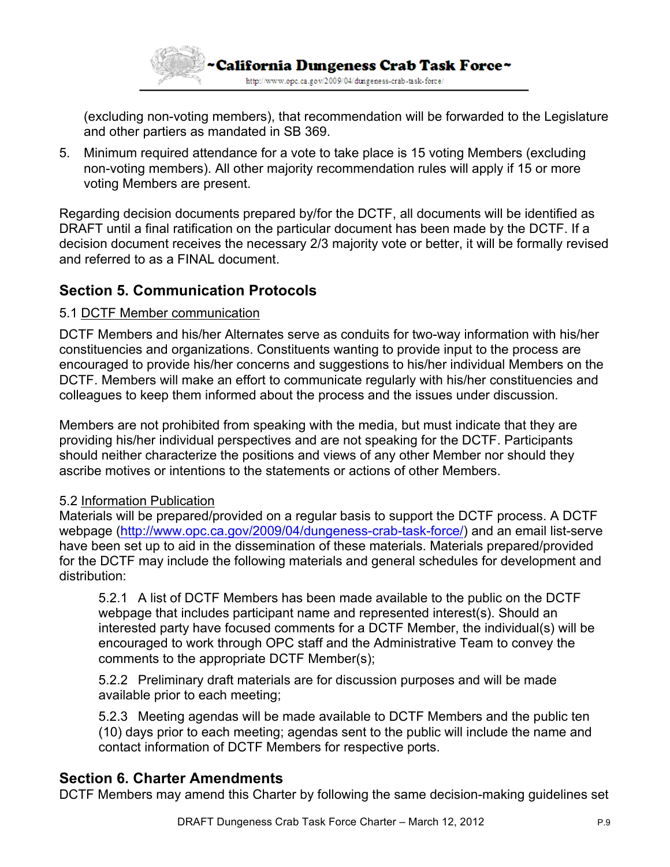

(excluding non-voting members), that recommendation will be forwarded to the Legislature and other partiers as mandated in SB 369.

5. Minimum required attendance for a vote to take place is 15 voting Members (excluding non-voting members). All other majority recommendation rules will apply if 15 or more voting Members are present.

Regarding decision documents prepared by/for the DCTF, all documents will be identified as DRAFT until a final ratification on the particular document has been made by the DCTF. If a decision document receives the necessary 2/3 majority vote or better, it will be formally revised and referred to as a FINAL document.

# **Section 5. Communication Protocols**

#### 5.1 DCTF Member communication

DCTF Members and his/her Alternates serve as conduits for two-way information with his/her constituencies and organizations. Constituents wanting to provide input to the process are encouraged to provide his/her concerns and suggestions to his/her individual Members on the DCTF. Members will make an effort to communicate regularly with his/her constituencies and colleagues to keep them informed about the process and the issues under discussion.

Members are not prohibited from speaking with the media, but must indicate that they are providing his/her individual perspectives and are not speaking for the DCTF. Participants should neither characterize the positions and views of any other Member nor should they ascribe motives or intentions to the statements or actions of other Members.

#### 5.2 Information Publication

Materials will be prepared/provided on a regular basis to support the DCTF process. A DCTF webpage (http://www.opc.ca.gov/2009/04/dungeness-crab-task-force/) and an email list-serve have been set up to aid in the dissemination of these materials. Materials prepared/provided for the DCTF may include the following materials and general schedules for development and distribution:

5.2.1 A list of DCTF Members has been made available to the public on the DCTF webpage that includes participant name and represented interest(s). Should an interested party have focused comments for a DCTF Member, the individual(s) will be encouraged to work through OPC staff and the Administrative Team to convey the comments to the appropriate DCTF Member(s);

5.2.2 Preliminary draft materials are for discussion purposes and will be made available prior to each meeting;

5.2.3 Meeting agendas will be made available to DCTF Members and the public ten (10) days prior to each meeting; agendas sent to the public will include the name and contact information of DCTF Members for respective ports.

## **Section 6. Charter Amendments**

DCTF Members may amend this Charter by following the same decision-making guidelines set